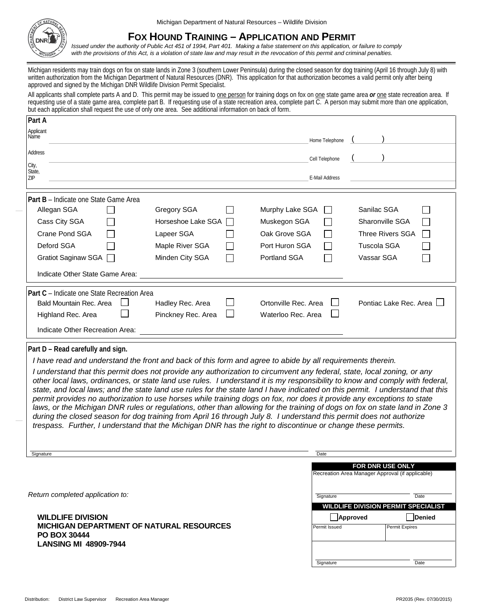

## **FOX HOUND TRAINING – APPLICATION AND PERMIT**

*Issued under the authority of Public Act 451 of 1994, Part 401. Making a false statement on this application, or failure to comply with the provisions of this Act, is a violation of state law and may result in the revocation of this permit and criminal penalties.*

Michigan residents may train dogs on fox on state lands in Zone 3 (southern Lower Peninsula) during the closed season for dog training (April 16 through July 8) with written authorization from the Michigan Department of Natural Resources (DNR). This application for that authorization becomes a valid permit only after being approved and signed by the Michigan DNR Wildlife Division Permit Specialist.

All applicants shall complete parts A and D. This permit may be issued to one person for training dogs on fox on one state game area or one state recreation area. If requesting use of a state game area, complete part B. If requesting use of a state recreation area, complete part  $\overline{C}$ . A person may submit more than one application, but each application shall request the use of only one area. See additional information on back of form.

| Part A                                       |                                    |                      |                         |
|----------------------------------------------|------------------------------------|----------------------|-------------------------|
| Applicant<br>Name                            |                                    | Home Telephone       |                         |
| Address                                      |                                    | Cell Telephone       |                         |
| City,<br>State,<br>ZIP                       |                                    | E-Mail Address       |                         |
| <b>Part B</b> – Indicate one State Game Area |                                    |                      |                         |
| Allegan SGA                                  | Gregory SGA                        | Murphy Lake SGA      | Sanilac SGA             |
| Cass City SGA                                | Horseshoe Lake SGA<br>$\mathbf{L}$ | Muskegon SGA         | Sharonville SGA         |
| Crane Pond SGA                               | Lapeer SGA                         | Oak Grove SGA        | <b>Three Rivers SGA</b> |
| Deford SGA                                   | Maple River SGA                    | Port Huron SGA       | Tuscola SGA             |
| Gratiot Saginaw SGA                          | Minden City SGA                    | <b>Portland SGA</b>  | Vassar SGA              |
| Indicate Other State Game Area:              |                                    |                      |                         |
| Part C - Indicate one State Recreation Area  |                                    |                      |                         |
| Bald Mountain Rec. Area                      | Hadley Rec. Area                   | Ortonville Rec. Area | Pontiac Lake Rec. Area  |
| Highland Rec. Area                           | Pinckney Rec. Area                 | Waterloo Rec. Area   |                         |
| Indicate Other Recreation Area:              |                                    |                      |                         |

## **Part D – Read carefully and sign.**

*I have read and understand the front and back of this form and agree to abide by all requirements therein.*

*I understand that this permit does not provide any authorization to circumvent any federal, state, local zoning, or any other local laws, ordinances, or state land use rules. I understand it is my responsibility to know and comply with federal, state, and local laws; and the state land use rules for the state land I have indicated on this permit. I understand that this permit provides no authorization to use horses while training dogs on fox, nor does it provide any exceptions to state laws, or the Michigan DNR rules or regulations, other than allowing for the training of dogs on fox on state land in Zone 3 during the closed season for dog training from April 16 through July 8. I understand this permit does not authorize trespass. Further, I understand that the Michigan DNR has the right to discontinue or change these permits.*

| Signature                                                                                          | Date                      |                                                                             |  |
|----------------------------------------------------------------------------------------------------|---------------------------|-----------------------------------------------------------------------------|--|
|                                                                                                    |                           | <b>FOR DNR USE ONLY</b><br>Recreation Area Manager Approval (if applicable) |  |
| Return completed application to:                                                                   | Signature                 | Date<br><b>WILDLIFE DIVISION PERMIT SPECIALIST</b>                          |  |
| <b>WILDLIFE DIVISION</b><br><b>MICHIGAN DEPARTMENT OF NATURAL RESOURCES</b><br><b>PO BOX 30444</b> | Approved<br>Permit Issued | Denied<br><b>Permit Expires</b>                                             |  |
| <b>LANSING MI 48909-7944</b>                                                                       | Signature                 | Date                                                                        |  |